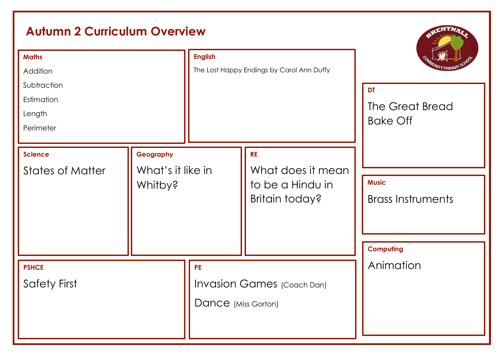# **Autumn 2 Curriculum Overview**

| <b>Maths</b><br>Addition<br>Subtraction<br>Estimation<br>Length<br>Perimeter |                                           | <b>English</b><br>The Lost Happy Endings by Carol Ann Duffy           |                                                                      | <b>DT</b><br>The Great Bread<br><b>Bake Off</b>              |
|------------------------------------------------------------------------------|-------------------------------------------|-----------------------------------------------------------------------|----------------------------------------------------------------------|--------------------------------------------------------------|
| <b>Science</b><br><b>States of Matter</b>                                    | Geography<br>What's it like in<br>Whitby? |                                                                       | <b>RE</b><br>What does it mean<br>to be a Hindu in<br>Britain today? | <b>Music</b><br><b>Brass Instruments</b><br><b>Computing</b> |
| <b>PSHCE</b><br><b>Safety First</b>                                          |                                           | <b>PE</b><br><b>Invasion Games</b> (Coach Dan)<br>Dance (Miss Gorton) |                                                                      | Animation                                                    |

**AENTNAL**